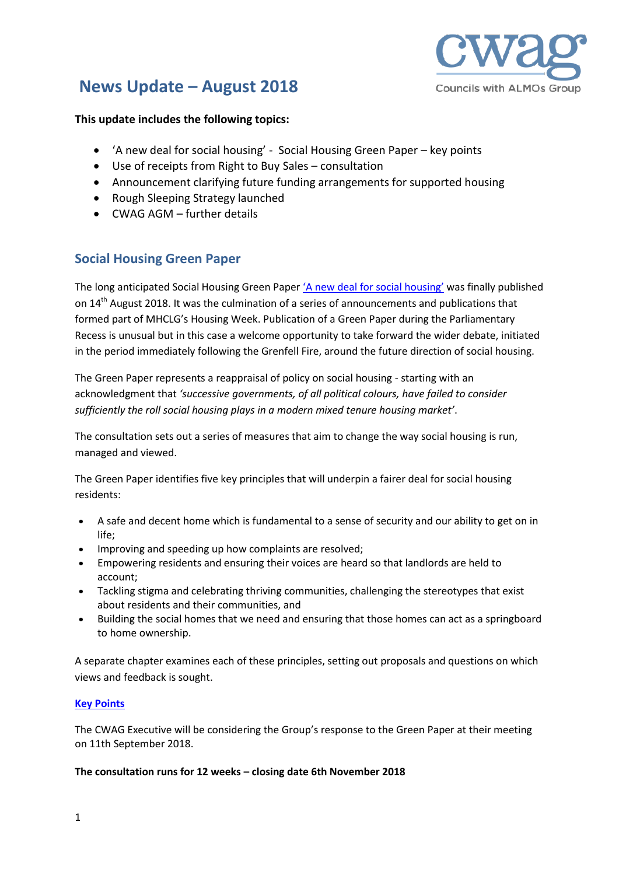

# **News Update – August 2018**

#### **This update includes the following topics:**

- 'A new deal for social housing' Social Housing Green Paper key points
- Use of receipts from Right to Buy Sales consultation
- Announcement clarifying future funding arrangements for supported housing
- Rough Sleeping Strategy launched
- CWAG AGM further details

# **Social Housing Green Paper**

The long anticipated Social Housing Green Paper ['A new deal for social housing'](https://assets.publishing.service.gov.uk/government/uploads/system/uploads/attachment_data/file/733605/A_new_deal_for_social_housing_web_accessible.pdf) was finally published on  $14<sup>th</sup>$  August 2018. It was the culmination of a series of announcements and publications that formed part of MHCLG's Housing Week. Publication of a Green Paper during the Parliamentary Recess is unusual but in this case a welcome opportunity to take forward the wider debate, initiated in the period immediately following the Grenfell Fire, around the future direction of social housing.

The Green Paper represents a reappraisal of policy on social housing - starting with an acknowledgment that *'successive governments, of all political colours, have failed to consider sufficiently the roll social housing plays in a modern mixed tenure housing market'*.

The consultation sets out a series of measures that aim to change the way social housing is run, managed and viewed.

The Green Paper identifies five key principles that will underpin a fairer deal for social housing residents:

- A safe and decent home which is fundamental to a sense of security and our ability to get on in life;
- Improving and speeding up how complaints are resolved;
- Empowering residents and ensuring their voices are heard so that landlords are held to account;
- Tackling stigma and celebrating thriving communities, challenging the stereotypes that exist about residents and their communities, and
- Building the social homes that we need and ensuring that those homes can act as a springboard to home ownership.

A separate chapter examines each of these principles, setting out proposals and questions on which views and feedback is sought.

#### **[Key Points](http://www.councilswithalmos.co.uk/UserFiles/File/Green%20Paper%20Key%20Points.pdf)**

The CWAG Executive will be considering the Group's response to the Green Paper at their meeting on 11th September 2018.

#### **The consultation runs for 12 weeks – closing date 6th November 2018**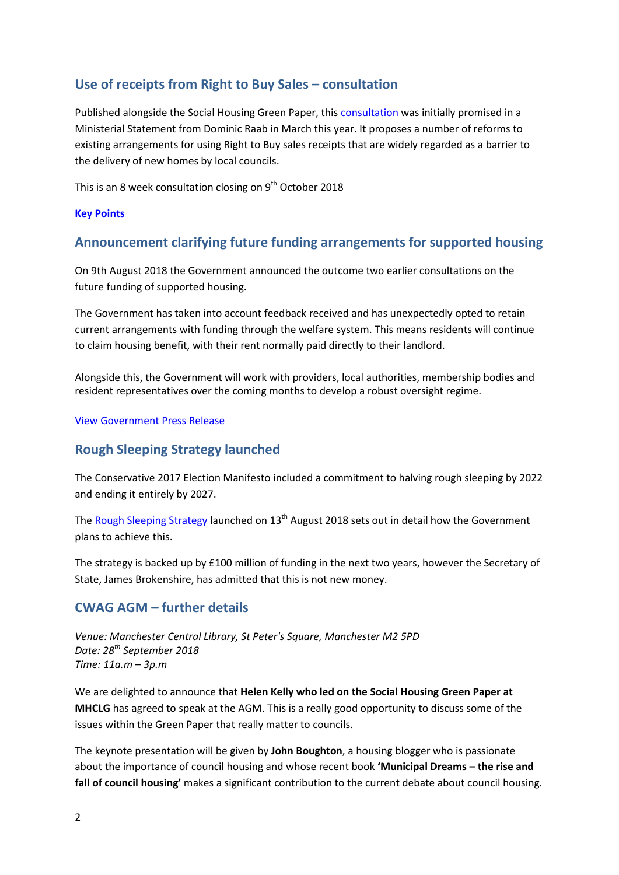# **Use of receipts from Right to Buy Sales – consultation**

Published alongside the Social Housing Green Paper, thi[s consultation](https://assets.publishing.service.gov.uk/government/uploads/system/uploads/attachment_data/file/733469/Right_to_Buy_consultation.pdf) was initially promised in a Ministerial Statement from Dominic Raab in March this year. It proposes a number of reforms to existing arrangements for using Right to Buy sales receipts that are widely regarded as a barrier to the delivery of new homes by local councils.

This is an 8 week consultation closing on  $9<sup>th</sup>$  October 2018

#### **[Key Points](http://www.councilswithalmos.co.uk/UserFiles/File/Consultation%20use%20of%20receipts%20from%20RTB%20sales%20-%20key%20points.pdf)**

### **Announcement clarifying future funding arrangements for supported housing**

On 9th August 2018 the Government announced the outcome two earlier consultations on the future funding of supported housing.

The Government has taken into account feedback received and has unexpectedly opted to retain current arrangements with funding through the welfare system. This means residents will continue to claim housing benefit, with their rent normally paid directly to their landlord.

Alongside this, the Government will work with providers, local authorities, membership bodies and resident representatives over the coming months to develop a robust oversight regime.

#### [View Government Press](https://www.gov.uk/government/news/all-supported-housing-funding-to-be-retained-in-welfare-system) Release

# **Rough Sleeping Strategy launched**

The Conservative 2017 Election Manifesto included a commitment to halving rough sleeping by 2022 and ending it entirely by 2027.

The [Rough Sleeping Strategy](https://assets.publishing.service.gov.uk/government/uploads/system/uploads/attachment_data/file/733421/Rough-Sleeping-Strategy_WEB.pdf) launched on 13<sup>th</sup> August 2018 sets out in detail how the Government plans to achieve this.

The strategy is backed up by £100 million of funding in the next two years, however the Secretary of State, James Brokenshire, has admitted that this is not new money.

# **CWAG AGM – further details**

*Venue: Manchester Central Library, St Peter's Square, Manchester M2 5PD Date: 28th September 2018 Time: 11a.m – 3p.m*

We are delighted to announce that **Helen Kelly who led on the Social Housing Green Paper at MHCLG** has agreed to speak at the AGM. This is a really good opportunity to discuss some of the issues within the Green Paper that really matter to councils.

The keynote presentation will be given by **John Boughton**, a housing blogger who is passionate about the importance of council housing and whose recent book **'Municipal Dreams – the rise and fall of council housing'** makes a significant contribution to the current debate about council housing.